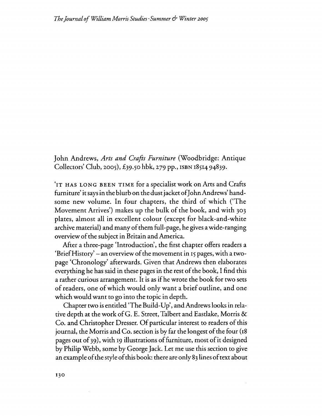John Andrews, *Arts and Crafts Furniture* (Woodbridge: Antique Collectors' Club, 2005), £39.50 hbk, 279 pp., ISBN 1851494839.

'IT HAS LONG BEEN TIME for a specialist work on Arts and Crafts furniture' itsaysin the blurb on the dust jacketofJohnAndrews' handsome new volume. In four chapters, the third of which ('The Movement Arrives') makes up the bulk of the book, and with 303 plates, almost all in excellent colour (except for black-and-white archive material) and many of them full-page, he gives a wide-ranging overview of the subject in Britain and America.

After a three-page 'Introduction', the first chapter offers readers a 'BriefHistory' - an overview ofthe movement in <sup>15</sup> pages, with a twopage 'Chronology' afterwards. Given that Andrews then elaborates everything he has said in these pages in the rest of the book, I find this a rather curious arrangement. It is as ifhe wrote the book for two sets of readers, one of which would only want a brief outline, and one which would want to go into the topic in depth.

Chapter two is entitled 'The Build-Up', and Andrews looks in rela- $\overline{a}$ tive depth at the work ofG. E. Street, Talbert and Eastlake, Morris & Co. and Christopher Dresser. Of particular interest to readers of this journal, the Morris and Co. section is by far the longest of the four  $(18)$ pages out of 39), with 19 illustrations of furniture, most of it designed by Philip Webb, some by George Jack. Let me use this section to give an example of the style of this book: there are only 83 lines of text about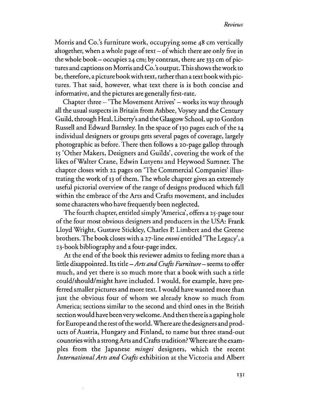Morris and Co.'s furniture work, occupying some 48 cm vertically altogether, when a whole page of text  $-$  of which there are only five in the whole book – occupies 24 cm; by contrast, there are 333 cm of pictures and captions on Morris and Co.'soutput.Thisshowsthe work to be, therefore, a picture bookwith text, rather than a text bookwith pictures. That said, however, what text there is is both concise and informative, and the pictures are generally first-rate.

Chapter three - 'The Movement Arrives' - works its way through all the usual suspects in Britain from Ashbee, Voysey and the Century Guild, through Heal, Liberty's and the GlasgowSchool, up to Gordon Russell and Edward Barnsley. In the space of 130 pages each of the 14 individual designers or groups gets several pages of coverage, largely photographic as before. There then follows a 2o-page gallop through IS 'Other Makers, Designers and Guilds', covering the work ofthe likes ofWalter Crane, Edwin Lutyens and Heywood Sumner. The chapter closes with 22 pages on 'The Commercial Companies' illustrating the work of 13 of them. The whole chapter gives an extremely useful pictorial overview of the range of designs produced which fall within the embrace of the Arts and Crafts movement, and includes some characters who have frequently been neglected.

The fourth chapter, entitled simply 'America', offers a 25-page tour of the four most obvious designers and producers in the USA: Frank Lloyd Wright, Gustave Stickley, Charles P. Limbert and the Greene brothers. The book closes with a 27-line *envoi* entitled 'The Legacy', a 23-book bibliography and a four-page index.

At the end of the book this reviewer admits to feeling more than a little disappointed. Its title *-Arts andCrafts Furniture-* seems to offer much, and yet there is so much more that a book with such a title could/should/might have included. I would, for example, have preferred smaller pictures and more text. I would have wanted more than just the obvious four of whom we already know so much from America; sections similar to the second and third ones in the British section would have been very welcome. And then there is a gaping hole for Europe and the rest of the world. Where are the designers and products ofAustria, Hungary and Finland, to name but three stand-out countries with a strong Arts and Crafts tradition? Where are the exampIes from the Japanese *mingei* designers, which the recent *InternationalArts and Crafts* exhibition at the Victoria and Albert